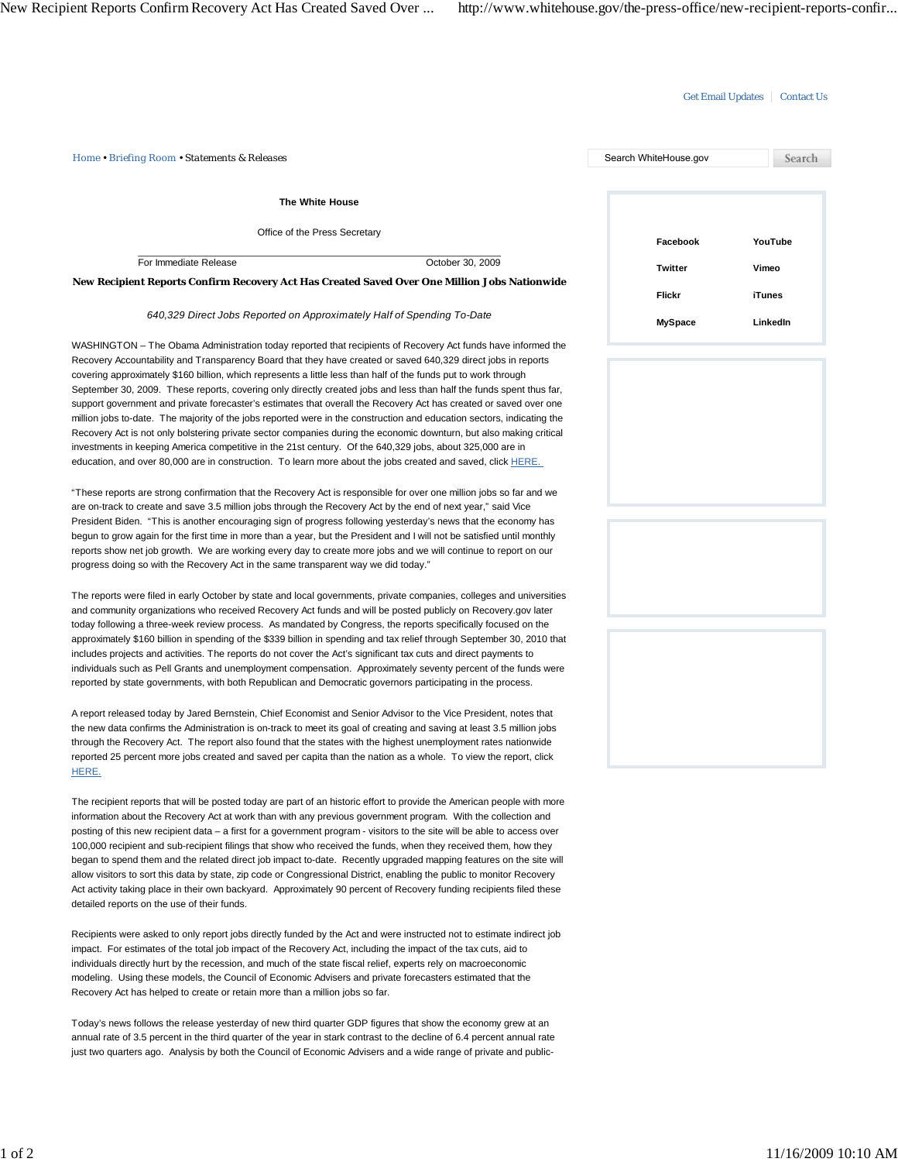#### Get Email Updates | Contact Us

| Home . Briefing Room . Statements & Releases                                                  |                  | Search WhiteHouse.gov |               |
|-----------------------------------------------------------------------------------------------|------------------|-----------------------|---------------|
| The White House                                                                               |                  |                       |               |
| Office of the Press Secretary                                                                 |                  | Facebook              | YouTube       |
| For Immediate Release                                                                         | October 30, 2009 | Twitter               | Vimeo         |
| New Recipient Reports Confirm Recovery Act Has Created Saved Over One Million Jobs Nationwide |                  | <b>Flickr</b>         | <b>iTunes</b> |

#### *640,329 Direct Jobs Reported on Approximately Half of Spending To-Date*

WASHINGTON – The Obama Administration today reported that recipients of Recovery Act funds have informed the Recovery Accountability and Transparency Board that they have created or saved 640,329 direct jobs in reports covering approximately \$160 billion, which represents a little less than half of the funds put to work through September 30, 2009. These reports, covering only directly created jobs and less than half the funds spent thus far, support government and private forecaster's estimates that overall the Recovery Act has created or saved over one million jobs to-date. The majority of the jobs reported were in the construction and education sectors, indicating the Recovery Act is not only bolstering private sector companies during the economic downturn, but also making critical investments in keeping America competitive in the 21st century. Of the 640,329 jobs, about 325,000 are in education, and over 80,000 are in construction. To learn more about the jobs created and saved, click HERE.

"These reports are strong confirmation that the Recovery Act is responsible for over one million jobs so far and we are on-track to create and save 3.5 million jobs through the Recovery Act by the end of next year," said Vice President Biden. "This is another encouraging sign of progress following yesterday's news that the economy has begun to grow again for the first time in more than a year, but the President and I will not be satisfied until monthly reports show net job growth. We are working every day to create more jobs and we will continue to report on our progress doing so with the Recovery Act in the same transparent way we did today."

The reports were filed in early October by state and local governments, private companies, colleges and universities and community organizations who received Recovery Act funds and will be posted publicly on Recovery.gov later today following a three-week review process. As mandated by Congress, the reports specifically focused on the approximately \$160 billion in spending of the \$339 billion in spending and tax relief through September 30, 2010 that includes projects and activities. The reports do not cover the Act's significant tax cuts and direct payments to individuals such as Pell Grants and unemployment compensation. Approximately seventy percent of the funds were reported by state governments, with both Republican and Democratic governors participating in the process.

A report released today by Jared Bernstein, Chief Economist and Senior Advisor to the Vice President, notes that the new data confirms the Administration is on-track to meet its goal of creating and saving at least 3.5 million jobs through the Recovery Act. The report also found that the states with the highest unemployment rates nationwide reported 25 percent more jobs created and saved per capita than the nation as a whole. To view the report, click HERE.

The recipient reports that will be posted today are part of an historic effort to provide the American people with more information about the Recovery Act at work than with any previous government program. With the collection and posting of this new recipient data – a first for a government program - visitors to the site will be able to access over 100,000 recipient and sub-recipient filings that show who received the funds, when they received them, how they began to spend them and the related direct job impact to-date. Recently upgraded mapping features on the site will allow visitors to sort this data by state, zip code or Congressional District, enabling the public to monitor Recovery Act activity taking place in their own backyard. Approximately 90 percent of Recovery funding recipients filed these detailed reports on the use of their funds.

Recipients were asked to only report jobs directly funded by the Act and were instructed not to estimate indirect job impact. For estimates of the total job impact of the Recovery Act, including the impact of the tax cuts, aid to individuals directly hurt by the recession, and much of the state fiscal relief, experts rely on macroeconomic modeling. Using these models, the Council of Economic Advisers and private forecasters estimated that the Recovery Act has helped to create or retain more than a million jobs so far.

Today's news follows the release yesterday of new third quarter GDP figures that show the economy grew at an annual rate of 3.5 percent in the third quarter of the year in stark contrast to the decline of 6.4 percent annual rate just two quarters ago. Analysis by both the Council of Economic Advisers and a wide range of private and public-

| YouTube  |
|----------|
| Vimeo    |
|          |
| iTunes   |
| LinkedIn |
|          |